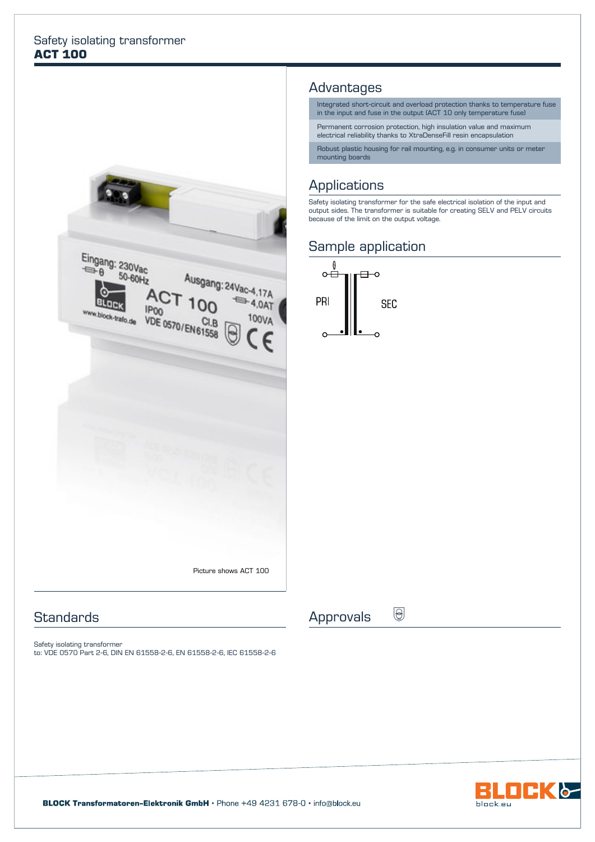#### Safety isolating transformer **ACT 100**



### **Standards**

Safety isolating transformer to: VDE 0570 Part 2-6, DIN EN 61558-2-6, EN 61558-2-6, IEC 61558-2-6

### Advantages

Integrated short-circuit and overload protection thanks to temperature fuse in the input and fuse in the output (ACT 10 only temperature fuse)

Permanent corrosion protection, high insulation value and maximum electrical reliability thanks to XtraDenseFill resin encapsulation

Robust plastic housing for rail mounting, e.g. in consumer units or meter mounting boards

## **Applications**

Safety isolating transformer for the safe electrical isolation of the input and output sides. The transformer is suitable for creating SELV and PELV circuits because of the limit on the output voltage.

### Sample application